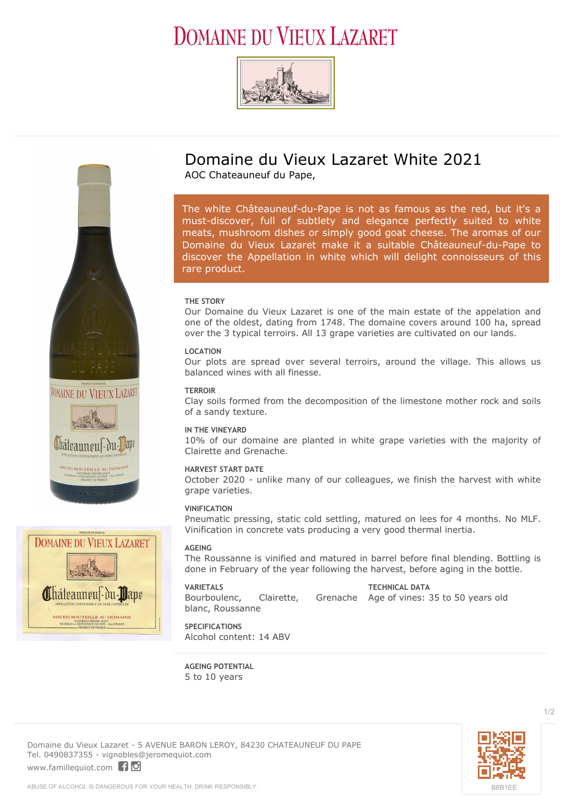# **DOMAINE DU VIEUX LAZARET**





# **DOMAINE DU VIEUX LAZARET** Châteauneuf-du-Dape MIS EN BOUTEILLE AU DOMAINE

# **Domaine du Vieux Lazaret White 2021**

AOC Chateauneuf du Pape,

*The white Châteauneuf-du-Pape is not as famous as the red, but it's a must-discover, full of subtlety and elegance perfectly suited to white meats, mushroom dishes or simply good goat cheese. The aromas of our Domaine du Vieux Lazaret make it a suitable Châteauneuf-du-Pape to discover the Appellation in white which will delight connoisseurs of this rare product.*

# **THE STORY**

Our Domaine du Vieux Lazaret is one of the main estate of the appelation and one of the oldest, dating from 1748. The domaine covers around 100 ha, spread over the 3 typical terroirs. All 13 grape varieties are cultivated on our lands.

## **LOCATION**

Our plots are spread over several terroirs, around the village. This allows us balanced wines with all finesse.

#### **TERROIR**

Clay soils formed from the decomposition of the limestone mother rock and soils of a sandy texture.

### **IN THE VINEYARD**

10% of our domaine are planted in white grape varieties with the majority of Clairette and Grenache.

# **HARVEST START DATE**

October 2020 - unlike many of our colleagues, we finish the harvest with white grape varieties.

### **VINIFICATION**

Pneumatic pressing, static cold settling, matured on lees for 4 months. No MLF. Vinification in concrete vats producing a very good thermal inertia.

### **AGEING**

The Roussanne is vinified and matured in barrel before final blending. Bottling is done in February of the year following the harvest, before aging in the bottle.

#### **VARIETALS**

Bourboulenc, Clairette, blanc, Roussanne

**TECHNICAL DATA** Grenache Age of vines: 35 to 50 years old

**SPECIFICATIONS** Alcohol content: 14 ABV

**AGEING POTENTIAL** 5 to 10 years

**Domaine du Vieux Lazaret** - 5 AVENUE BARON LEROY, 84230 CHATEAUNEUF DU PAPE Tel. 0490837355 - vignobles@jeromequiot.com <www.famillequiot.com>flo



1/2